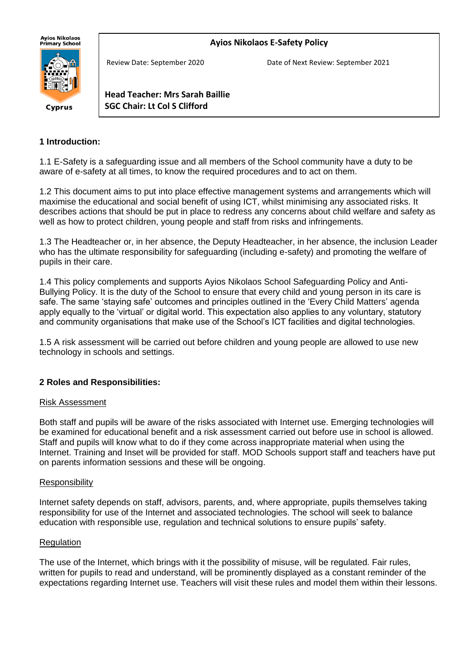**Ayios Nikolaos E-Safety Policy**





Review Date: September 2020 Date of Next Review: September 2021

**Head Teacher: Mrs Sarah Baillie SGC Chair: Lt Col S Clifford**

#### **1 Introduction:**

1.1 E-Safety is a safeguarding issue and all members of the School community have a duty to be aware of e-safety at all times, to know the required procedures and to act on them.

1.2 This document aims to put into place effective management systems and arrangements which will maximise the educational and social benefit of using ICT, whilst minimising any associated risks. It describes actions that should be put in place to redress any concerns about child welfare and safety as well as how to protect children, young people and staff from risks and infringements.

1.3 The Headteacher or, in her absence, the Deputy Headteacher, in her absence, the inclusion Leader who has the ultimate responsibility for safeguarding (including e-safety) and promoting the welfare of pupils in their care.

1.4 This policy complements and supports Ayios Nikolaos School Safeguarding Policy and Anti-Bullying Policy. It is the duty of the School to ensure that every child and young person in its care is safe. The same 'staying safe' outcomes and principles outlined in the 'Every Child Matters' agenda apply equally to the 'virtual' or digital world. This expectation also applies to any voluntary, statutory and community organisations that make use of the School's ICT facilities and digital technologies.

1.5 A risk assessment will be carried out before children and young people are allowed to use new technology in schools and settings.

#### **2 Roles and Responsibilities:**

#### Risk Assessment

Both staff and pupils will be aware of the risks associated with Internet use. Emerging technologies will be examined for educational benefit and a risk assessment carried out before use in school is allowed. Staff and pupils will know what to do if they come across inappropriate material when using the Internet. Training and Inset will be provided for staff. MOD Schools support staff and teachers have put on parents information sessions and these will be ongoing.

#### **Responsibility**

Internet safety depends on staff, advisors, parents, and, where appropriate, pupils themselves taking responsibility for use of the Internet and associated technologies. The school will seek to balance education with responsible use, regulation and technical solutions to ensure pupils' safety.

#### Regulation

The use of the Internet, which brings with it the possibility of misuse, will be regulated. Fair rules, written for pupils to read and understand, will be prominently displayed as a constant reminder of the expectations regarding Internet use. Teachers will visit these rules and model them within their lessons.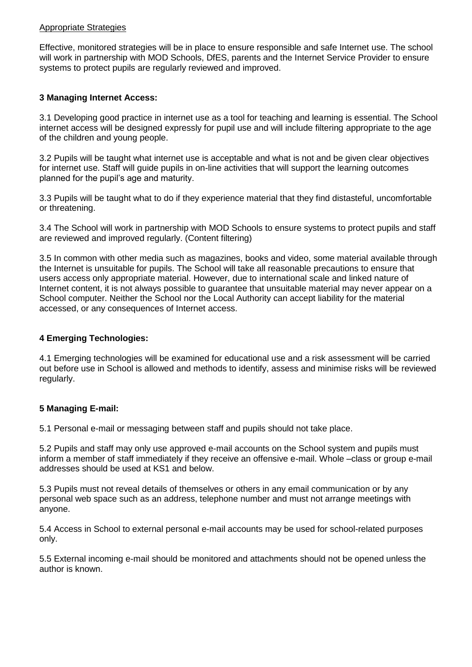#### Appropriate Strategies

Effective, monitored strategies will be in place to ensure responsible and safe Internet use. The school will work in partnership with MOD Schools, DfES, parents and the Internet Service Provider to ensure systems to protect pupils are regularly reviewed and improved.

#### **3 Managing Internet Access:**

3.1 Developing good practice in internet use as a tool for teaching and learning is essential. The School internet access will be designed expressly for pupil use and will include filtering appropriate to the age of the children and young people.

3.2 Pupils will be taught what internet use is acceptable and what is not and be given clear objectives for internet use. Staff will guide pupils in on-line activities that will support the learning outcomes planned for the pupil's age and maturity.

3.3 Pupils will be taught what to do if they experience material that they find distasteful, uncomfortable or threatening.

3.4 The School will work in partnership with MOD Schools to ensure systems to protect pupils and staff are reviewed and improved regularly. (Content filtering)

3.5 In common with other media such as magazines, books and video, some material available through the Internet is unsuitable for pupils. The School will take all reasonable precautions to ensure that users access only appropriate material. However, due to international scale and linked nature of Internet content, it is not always possible to guarantee that unsuitable material may never appear on a School computer. Neither the School nor the Local Authority can accept liability for the material accessed, or any consequences of Internet access.

#### **4 Emerging Technologies:**

4.1 Emerging technologies will be examined for educational use and a risk assessment will be carried out before use in School is allowed and methods to identify, assess and minimise risks will be reviewed regularly.

### **5 Managing E-mail:**

5.1 Personal e-mail or messaging between staff and pupils should not take place.

5.2 Pupils and staff may only use approved e-mail accounts on the School system and pupils must inform a member of staff immediately if they receive an offensive e-mail. Whole –class or group e-mail addresses should be used at KS1 and below.

5.3 Pupils must not reveal details of themselves or others in any email communication or by any personal web space such as an address, telephone number and must not arrange meetings with anyone.

5.4 Access in School to external personal e-mail accounts may be used for school-related purposes only.

5.5 External incoming e-mail should be monitored and attachments should not be opened unless the author is known.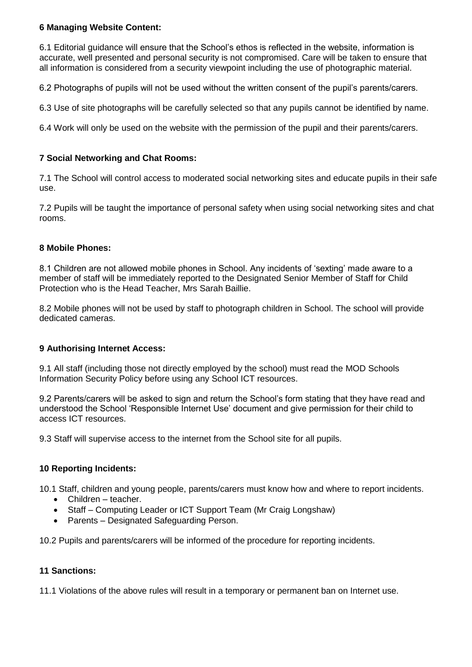#### **6 Managing Website Content:**

6.1 Editorial guidance will ensure that the School's ethos is reflected in the website, information is accurate, well presented and personal security is not compromised. Care will be taken to ensure that all information is considered from a security viewpoint including the use of photographic material.

6.2 Photographs of pupils will not be used without the written consent of the pupil's parents/carers.

6.3 Use of site photographs will be carefully selected so that any pupils cannot be identified by name.

6.4 Work will only be used on the website with the permission of the pupil and their parents/carers.

#### **7 Social Networking and Chat Rooms:**

7.1 The School will control access to moderated social networking sites and educate pupils in their safe use.

7.2 Pupils will be taught the importance of personal safety when using social networking sites and chat rooms.

#### **8 Mobile Phones:**

8.1 Children are not allowed mobile phones in School. Any incidents of 'sexting' made aware to a member of staff will be immediately reported to the Designated Senior Member of Staff for Child Protection who is the Head Teacher, Mrs Sarah Baillie.

8.2 Mobile phones will not be used by staff to photograph children in School. The school will provide dedicated cameras.

#### **9 Authorising Internet Access:**

9.1 All staff (including those not directly employed by the school) must read the MOD Schools Information Security Policy before using any School ICT resources.

9.2 Parents/carers will be asked to sign and return the School's form stating that they have read and understood the School 'Responsible Internet Use' document and give permission for their child to access ICT resources.

9.3 Staff will supervise access to the internet from the School site for all pupils.

### **10 Reporting Incidents:**

10.1 Staff, children and young people, parents/carers must know how and where to report incidents.

- Children teacher.
- Staff Computing Leader or ICT Support Team (Mr Craig Longshaw)
- Parents Designated Safeguarding Person.

10.2 Pupils and parents/carers will be informed of the procedure for reporting incidents.

#### **11 Sanctions:**

11.1 Violations of the above rules will result in a temporary or permanent ban on Internet use.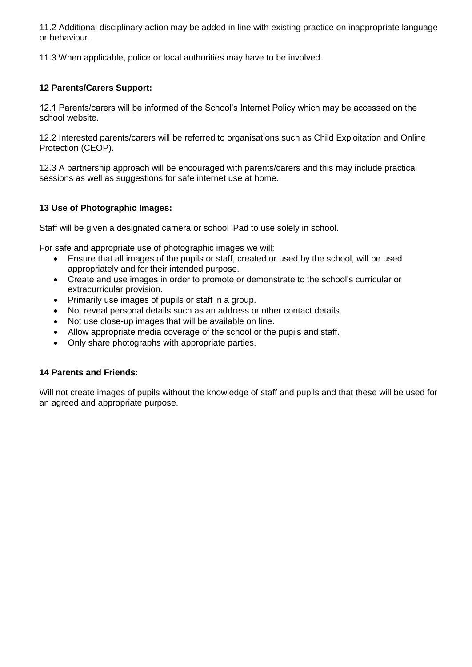11.2 Additional disciplinary action may be added in line with existing practice on inappropriate language or behaviour.

11.3 When applicable, police or local authorities may have to be involved.

#### **12 Parents/Carers Support:**

12.1 Parents/carers will be informed of the School's Internet Policy which may be accessed on the school website.

12.2 Interested parents/carers will be referred to organisations such as Child Exploitation and Online Protection (CEOP).

12.3 A partnership approach will be encouraged with parents/carers and this may include practical sessions as well as suggestions for safe internet use at home.

#### **13 Use of Photographic Images:**

Staff will be given a designated camera or school iPad to use solely in school.

For safe and appropriate use of photographic images we will:

- Ensure that all images of the pupils or staff, created or used by the school, will be used appropriately and for their intended purpose.
- Create and use images in order to promote or demonstrate to the school's curricular or extracurricular provision.
- Primarily use images of pupils or staff in a group.
- Not reveal personal details such as an address or other contact details.
- Not use close-up images that will be available on line.
- Allow appropriate media coverage of the school or the pupils and staff.
- Only share photographs with appropriate parties.

#### **14 Parents and Friends:**

Will not create images of pupils without the knowledge of staff and pupils and that these will be used for an agreed and appropriate purpose.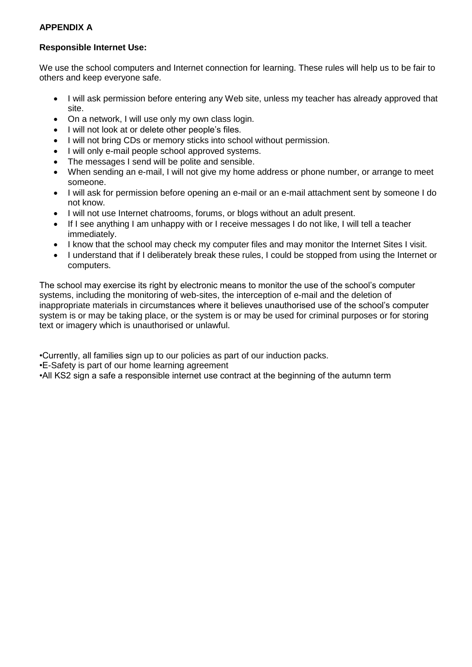### **APPENDIX A**

#### **Responsible Internet Use:**

We use the school computers and Internet connection for learning. These rules will help us to be fair to others and keep everyone safe.

- I will ask permission before entering any Web site, unless my teacher has already approved that site.
- On a network, I will use only my own class login.
- I will not look at or delete other people's files.
- I will not bring CDs or memory sticks into school without permission.
- I will only e-mail people school approved systems.
- The messages I send will be polite and sensible.
- When sending an e-mail, I will not give my home address or phone number, or arrange to meet someone.
- I will ask for permission before opening an e-mail or an e-mail attachment sent by someone I do not know.
- I will not use Internet chatrooms, forums, or blogs without an adult present.
- If I see anything I am unhappy with or I receive messages I do not like, I will tell a teacher immediately.
- I know that the school may check my computer files and may monitor the Internet Sites I visit.
- I understand that if I deliberately break these rules, I could be stopped from using the Internet or computers.

The school may exercise its right by electronic means to monitor the use of the school's computer systems, including the monitoring of web-sites, the interception of e-mail and the deletion of inappropriate materials in circumstances where it believes unauthorised use of the school's computer system is or may be taking place, or the system is or may be used for criminal purposes or for storing text or imagery which is unauthorised or unlawful.

•Currently, all families sign up to our policies as part of our induction packs.

•E-Safety is part of our home learning agreement

•All KS2 sign a safe a responsible internet use contract at the beginning of the autumn term